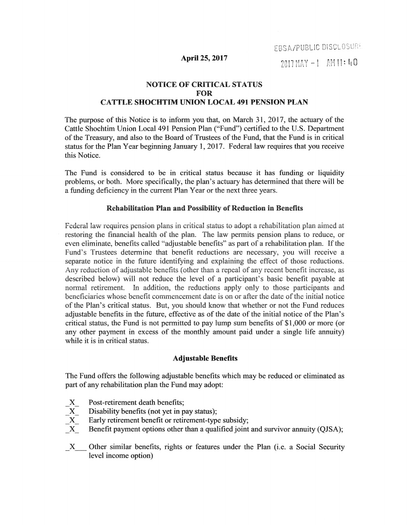EBSA/PUBLIC DISCLOSURE

#### April 25, 2017

2017 MAY -1 AM 11:40

# NOTICE OF CRITICAL STATUS FOR CATTLE SHOCHTIM UNION LOCAL 491 PENSION PLAN

The purpose of this Notice is to inform you that, on March 31, 2017, the actuary of the Cattle Shochtim Union Local 491 Pension Plan ("Fund") certified to the U.S. Department of the Treasury, and also to the Board of Trustees of the Fund, that the Fund is in critical status for the Plan Year beginning January 1, 2017. Federal law requires that you receive this Notice.

The Fund is considered to be in critical status because it has funding or liquidity problems, or both. More specifically, the plan's actuary has determined that there will be a funding deficiency in the current Plan Year or the next three years.

## Rehabilitation Plan and Possibility of Reduction in Benefits

Federal law requires pension plans in critical status to adopt a rehabilitation plan aimed at restoring the financial health of the plan. The law permits pension plans to reduce, or even eliminate, benefits called "adjustable benefits" as part of a rehabilitation plan. If the Fund's Trustees determine that benefit reductions are necessary, you will receive a separate notice in the future identifying and explaining the effect of those reductions. Any reduction of adjustable benefits (other than a repeal of any recent benefit increase, as described below) will not reduce the level of a participant's basic benefit payable at normal retirement. In addition, the reductions apply only to those participants and beneficiaries whose benefit commencement date is on or after the date of the initial notice of the Plan's critical status. But, you should know that whether or not the Fund reduces adjustable benefits in the future, effective as of the date of the initial notice of the Plan's critical status, the Fund is not permitted to pay lump sum benefits of \$1,000 or more (or any other payment in excess of the monthly amount paid under a single life annuity) while it is in critical status.

## Adjustable Benefits

The Fund offers the following adjustable benefits which may be reduced or eliminated as part of any rehabilitation plan the Fund may adopt:

- X Post-retirement death benefits;
- X Disability benefits (not yet in pay status);
- X Early retirement benefit or retirement-type subsidy;
- X Benefit payment options other than a qualified joint and survivor annuity (QJSA);
- \_X\_ Other similar benefits, rights or features under the Plan (i.e. a Social Security level income option)